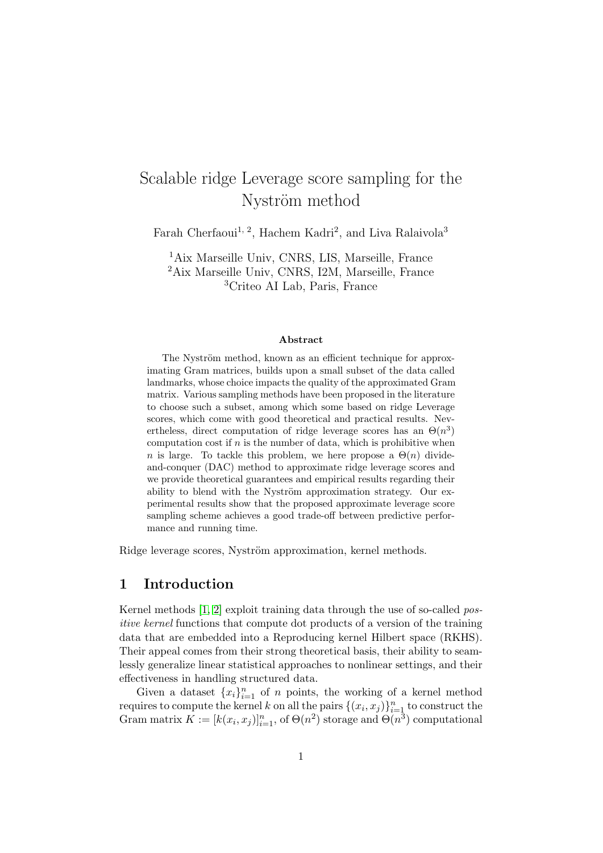# Scalable ridge Leverage score sampling for the Nyström method

Farah Cherfaoui<sup>1, 2</sup>, Hachem Kadri<sup>2</sup>, and Liva Ralaivola<sup>3</sup>

<sup>1</sup>Aix Marseille Univ, CNRS, LIS, Marseille, France <sup>2</sup>Aix Marseille Univ, CNRS, I2M, Marseille, France <sup>3</sup>Criteo AI Lab, Paris, France

#### Abstract

The Nyström method, known as an efficient technique for approximating Gram matrices, builds upon a small subset of the data called landmarks, whose choice impacts the quality of the approximated Gram matrix. Various sampling methods have been proposed in the literature to choose such a subset, among which some based on ridge Leverage scores, which come with good theoretical and practical results. Nevertheless, direct computation of ridge leverage scores has an  $\Theta(n^3)$ computation cost if  $n$  is the number of data, which is prohibitive when n is large. To tackle this problem, we here propose a  $\Theta(n)$  divideand-conquer (DAC) method to approximate ridge leverage scores and we provide theoretical guarantees and empirical results regarding their ability to blend with the Nyström approximation strategy. Our experimental results show that the proposed approximate leverage score sampling scheme achieves a good trade-off between predictive performance and running time.

Ridge leverage scores, Nyström approximation, kernel methods.

## 1 Introduction

Kernel methods  $[1, 2]$  $[1, 2]$  exploit training data through the use of so-called positive kernel functions that compute dot products of a version of the training data that are embedded into a Reproducing kernel Hilbert space (RKHS). Their appeal comes from their strong theoretical basis, their ability to seamlessly generalize linear statistical approaches to nonlinear settings, and their effectiveness in handling structured data.

Given a dataset  ${x_i}_{i=1}^n$  of n points, the working of a kernel method requires to compute the kernel k on all the pairs  $\{(x_i, x_j)\}_{i=1}^n$  to construct the Gram matrix  $K := [k(x_i, x_j)]_{i=1}^n$ , of  $\Theta(n^2)$  storage and  $\Theta(n^3)$  computational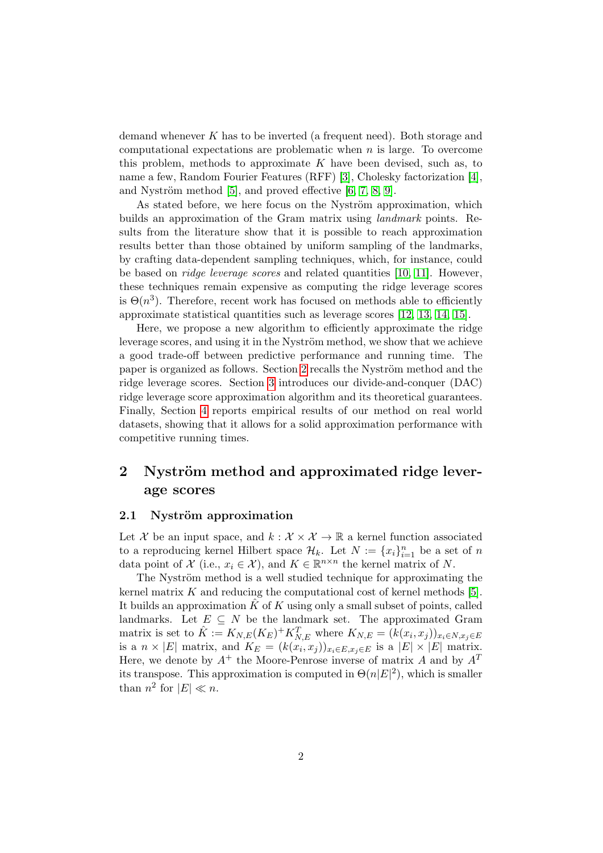demand whenever K has to be inverted (a frequent need). Both storage and computational expectations are problematic when  $n$  is large. To overcome this problem, methods to approximate  $K$  have been devised, such as, to name a few, Random Fourier Features (RFF) [\[3\]](#page-7-2), Cholesky factorization [\[4\]](#page-8-0), and Nyström method  $[5]$ , and proved effective  $[6, 7, 8, 9]$  $[6, 7, 8, 9]$  $[6, 7, 8, 9]$  $[6, 7, 8, 9]$ .

As stated before, we here focus on the Nyström approximation, which builds an approximation of the Gram matrix using landmark points. Results from the literature show that it is possible to reach approximation results better than those obtained by uniform sampling of the landmarks, by crafting data-dependent sampling techniques, which, for instance, could be based on ridge leverage scores and related quantities [\[10,](#page-9-0) [11\]](#page-9-1). However, these techniques remain expensive as computing the ridge leverage scores is  $\Theta(n^3)$ . Therefore, recent work has focused on methods able to efficiently approximate statistical quantities such as leverage scores [\[12,](#page-9-2) [13,](#page-9-3) [14,](#page-9-4) [15\]](#page-9-5).

Here, we propose a new algorithm to efficiently approximate the ridge leverage scores, and using it in the Nyström method, we show that we achieve a good trade-off between predictive performance and running time. The paper is organized as follows. Section [2](#page-1-0) recalls the Nyström method and the ridge leverage scores. Section [3](#page-3-0) introduces our divide-and-conquer (DAC) ridge leverage score approximation algorithm and its theoretical guarantees. Finally, Section [4](#page-6-0) reports empirical results of our method on real world datasets, showing that it allows for a solid approximation performance with competitive running times.

## <span id="page-1-0"></span>2 Nyström method and approximated ridge leverage scores

#### <span id="page-1-1"></span>2.1 Nyström approximation

Let X be an input space, and  $k : \mathcal{X} \times \mathcal{X} \to \mathbb{R}$  a kernel function associated to a reproducing kernel Hilbert space  $\mathcal{H}_k$ . Let  $N := \{x_i\}_{i=1}^n$  be a set of n data point of  $\mathcal{X}$  (i.e.,  $x_i \in \mathcal{X}$ ), and  $K \in \mathbb{R}^{n \times n}$  the kernel matrix of N.

The Nyström method is a well studied technique for approximating the kernel matrix  $K$  and reducing the computational cost of kernel methods [\[5\]](#page-8-1). It builds an approximation  $\hat{K}$  of K using only a small subset of points, called landmarks. Let  $E \subseteq N$  be the landmark set. The approximated Gram matrix is set to  $\hat{K} := K_{N,E}(K_E)^+ K_{N,E}^T$  where  $K_{N,E} = (k(x_i, x_j))_{x_i \in N, x_j \in E}$ is a  $n \times |E|$  matrix, and  $K_E = (k(x_i, x_j))_{x_i \in E, x_j \in E}$  is a  $|E| \times |E|$  matrix. Here, we denote by  $A^+$  the Moore-Penrose inverse of matrix A and by  $A^T$ its transpose. This approximation is computed in  $\Theta(n|E|^2)$ , which is smaller than  $n^2$  for  $|E| \ll n$ .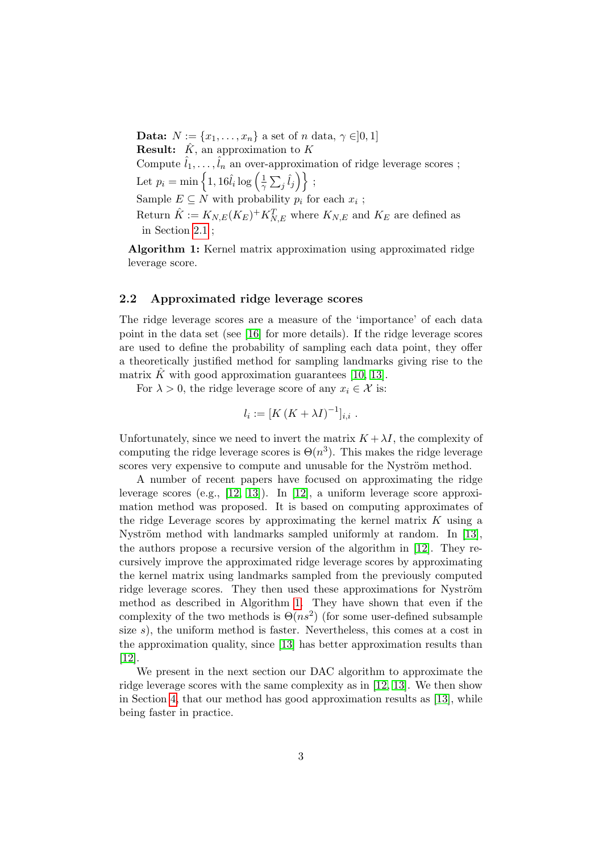<span id="page-2-0"></span>Data:  $N := \{x_1, \ldots, x_n\}$  a set of n data,  $\gamma \in ]0,1]$ **Result:**  $\hat{K}$ , an approximation to  $K$ Compute  $\hat{l}_1, \ldots, \hat{l}_n$  an over-approximation of ridge leverage scores; Let  $p_i = \min\left\{1, 16\hat{l}_i \log\left(\frac{1}{2}\right)\right\}$  $\frac{1}{\gamma}\sum_j \hat{l}_j \Big) \Big\} \; ;$ Sample  $E \subseteq N$  with probability  $p_i$  for each  $x_i$ ; Return  $\hat{K} := K_{N,E}(K_E)^+ K_{N,E}^T$  where  $K_{N,E}$  and  $K_E$  are defined as in Section [2.1](#page-1-1) ;

Algorithm 1: Kernel matrix approximation using approximated ridge leverage score.

#### 2.2 Approximated ridge leverage scores

The ridge leverage scores are a measure of the 'importance' of each data point in the data set (see [\[16\]](#page-9-6) for more details). If the ridge leverage scores are used to define the probability of sampling each data point, they offer a theoretically justified method for sampling landmarks giving rise to the matrix K with good approximation guarantees [\[10,](#page-9-0) [13\]](#page-9-3).

For  $\lambda > 0$ , the ridge leverage score of any  $x_i \in \mathcal{X}$  is:

$$
l_i := [K (K + \lambda I)^{-1}]_{i,i} .
$$

Unfortunately, since we need to invert the matrix  $K + \lambda I$ , the complexity of computing the ridge leverage scores is  $\Theta(n^3)$ . This makes the ridge leverage scores very expensive to compute and unusable for the Nyström method.

A number of recent papers have focused on approximating the ridge leverage scores (e.g., [\[12,](#page-9-2) [13\]](#page-9-3)). In [\[12\]](#page-9-2), a uniform leverage score approximation method was proposed. It is based on computing approximates of the ridge Leverage scores by approximating the kernel matrix  $K$  using a Nyström method with landmarks sampled uniformly at random. In  $[13]$ , the authors propose a recursive version of the algorithm in [\[12\]](#page-9-2). They recursively improve the approximated ridge leverage scores by approximating the kernel matrix using landmarks sampled from the previously computed ridge leverage scores. They then used these approximations for Nyström method as described in Algorithm [1.](#page-2-0) They have shown that even if the complexity of the two methods is  $\Theta(n^2)$  (for some user-defined subsample size s), the uniform method is faster. Nevertheless, this comes at a cost in the approximation quality, since [\[13\]](#page-9-3) has better approximation results than [\[12\]](#page-9-2).

We present in the next section our DAC algorithm to approximate the ridge leverage scores with the same complexity as in [\[12,](#page-9-2) [13\]](#page-9-3). We then show in Section [4,](#page-6-0) that our method has good approximation results as [\[13\]](#page-9-3), while being faster in practice.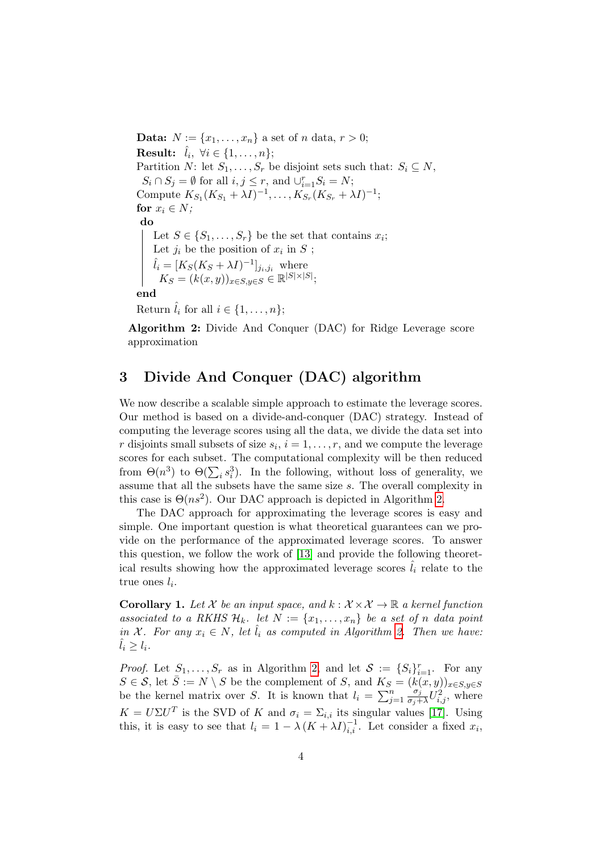<span id="page-3-1"></span>**Data:**  $N := \{x_1, ..., x_n\}$  a set of *n* data,  $r > 0$ ;  $\textbf{Result:} \;\; \hat{l}_i, \; \forall i \in \{1, \dots, n\};$ Partition N: let  $S_1, \ldots, S_r$  be disjoint sets such that:  $S_i \subseteq N$ ,  $S_i \cap S_j = \emptyset$  for all  $i, j \leq r$ , and  $\cup_{i=1}^r S_i = N$ ; Compute  $K_{S_1}(K_{S_1} + \lambda I)^{-1}, \ldots, K_{S_r}(K_{S_r} + \lambda I)^{-1};$ for  $x_i \in N$ ; do Let  $S \in \{S_1, \ldots, S_r\}$  be the set that contains  $x_i$ ; Let  $j_i$  be the position of  $x_i$  in  $S$ ;  $\hat{l}_i = [K_S(K_S + \lambda I)^{-1}]_{j_i, j_i}$  where  $K_S = (k(x, y))_{x \in S, y \in S} \in \mathbb{R}^{|S| \times |S|};$ end Return  $\hat{l}_i$  for all  $i \in \{1, \ldots, n\}$ ;

Algorithm 2: Divide And Conquer (DAC) for Ridge Leverage score approximation

## <span id="page-3-0"></span>3 Divide And Conquer (DAC) algorithm

We now describe a scalable simple approach to estimate the leverage scores. Our method is based on a divide-and-conquer (DAC) strategy. Instead of computing the leverage scores using all the data, we divide the data set into r disjoints small subsets of size  $s_i$ ,  $i = 1, \ldots, r$ , and we compute the leverage scores for each subset. The computational complexity will be then reduced from  $\Theta(n^3)$  to  $\Theta(\sum_i s_i^3)$ . In the following, without loss of generality, we assume that all the subsets have the same size s. The overall complexity in this case is  $\Theta(n s^2)$ . Our DAC approach is depicted in Algorithm [2.](#page-3-1)

The DAC approach for approximating the leverage scores is easy and simple. One important question is what theoretical guarantees can we provide on the performance of the approximated leverage scores. To answer this question, we follow the work of [\[13\]](#page-9-3) and provide the following theoretical results showing how the approximated leverage scores  $l_i$  relate to the true ones  $l_i$ .

<span id="page-3-2"></span>**Corollary 1.** Let X be an input space, and  $k : \mathcal{X} \times \mathcal{X} \rightarrow \mathbb{R}$  a kernel function associated to a RKHS  $\mathcal{H}_k$ . let  $N := \{x_1, \ldots, x_n\}$  be a set of n data point in X. For any  $x_i \in N$ , let  $\hat{l}_i$  as computed in Algorithm [2.](#page-3-1) Then we have:  $l_i \geq l_i$ .

*Proof.* Let  $S_1, \ldots, S_r$  as in Algorithm [2,](#page-3-1) and let  $S := \{S_i\}_{i=1}^r$ . For any  $S \in \mathcal{S}$ , let  $\overline{S} := N \setminus S$  be the complement of S, and  $K_S = (k(x, y))_{x \in S, y \in S}$ be the kernel matrix over S. It is known that  $l_i = \sum_{j=1}^n$  $\sigma_j$  $\frac{\sigma_j}{\sigma_j + \lambda} U_{i,j}^2$ , where  $K = U\Sigma U^T$  is the SVD of K and  $\sigma_i = \Sigma_{i,i}$  its singular values [\[17\]](#page-9-7). Using this, it is easy to see that  $l_i = 1 - \lambda (K + \lambda I)_{i,i}^{-1}$ . Let consider a fixed  $x_i$ ,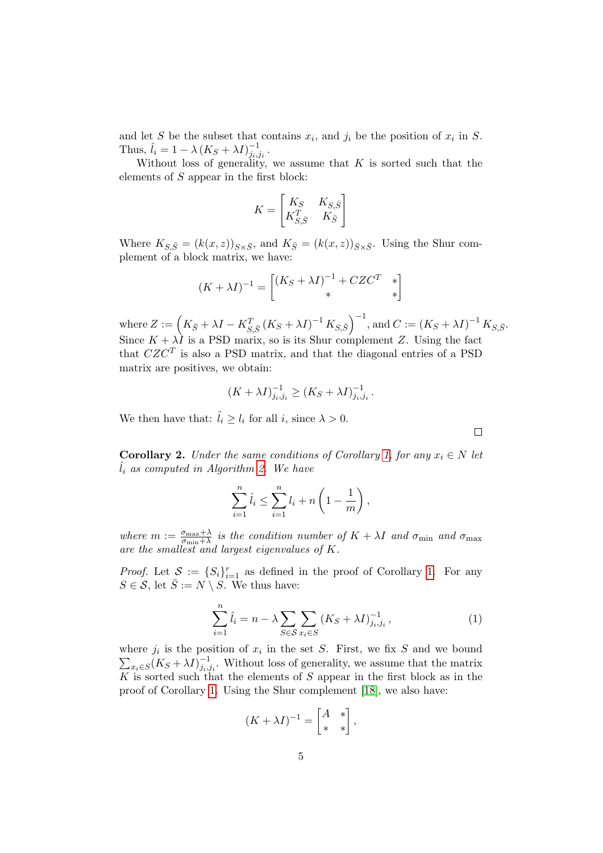and let S be the subset that contains  $x_i$ , and  $j_i$  be the position of  $x_i$  in S. Thus,  $\hat{l}_i = 1 - \lambda (K_S + \lambda I)_{i_i}^{-1}$  $^{-1}_{j_i,j_i}$  .

Without loss of generality, we assume that  $K$  is sorted such that the elements of S appear in the first block:

$$
K = \begin{bmatrix} K_S & K_{S,\bar{S}} \\ K_{S,\bar{S}}^T & K_{\bar{S}} \end{bmatrix}
$$

Where  $K_{S,\bar{S}} = (k(x, z))_{S \times \bar{S}}$ , and  $K_{\bar{S}} = (k(x, z))_{\bar{S} \times \bar{S}}$ . Using the Shur complement of a block matrix, we have:

$$
(K + \lambda I)^{-1} = \begin{bmatrix} (K_S + \lambda I)^{-1} + CZC^T & * \\ * & * \end{bmatrix}
$$

where  $Z := (K_{\bar{S}} + \lambda I - K_{S,\bar{S}}^T (K_S + \lambda I)^{-1} K_{S,\bar{S}})^{-1}$ , and  $C := (K_S + \lambda I)^{-1} K_{S,\bar{S}}$ . Since  $K + \lambda I$  is a PSD marix, so is its Shur complement Z. Using the fact that  $CZC^{T}$  is also a PSD matrix, and that the diagonal entries of a PSD matrix are positives, we obtain:

$$
(K+\lambda I)^{-1}_{j_i,j_i} \geq (K_S+\lambda I)^{-1}_{j_i,j_i}.
$$

We then have that:  $\hat{l}_i \geq l_i$  for all i, since  $\lambda > 0$ .

<span id="page-4-1"></span>**Corollary 2.** Under the same conditions of Corollary [1,](#page-3-2) for any  $x_i \in N$  let  $l_i$  as computed in Algorithm [2.](#page-3-1) We have

$$
\sum_{i=1}^{n} \hat{l}_i \le \sum_{i=1}^{n} l_i + n \left( 1 - \frac{1}{m} \right),
$$

where  $m := \frac{\sigma_{\max} + \lambda}{\sigma_{\min} + \lambda}$  is the condition number of  $K + \lambda I$  and  $\sigma_{\min}$  and  $\sigma_{\max}$ are the smallest and largest eigenvalues of K.

*Proof.* Let  $S := \{S_i\}_{i=1}^r$  as defined in the proof of Corollary [1.](#page-3-2) For any  $S \in \mathcal{S}$ , let  $\overline{S} := N \setminus S$ . We thus have:

<span id="page-4-0"></span>
$$
\sum_{i=1}^{n} \hat{l}_i = n - \lambda \sum_{S \in \mathcal{S}} \sum_{x_i \in S} (K_S + \lambda I)^{-1}_{j_i, j_i}, \qquad (1)
$$

 $\Box$ 

where  $j_i$  is the position of  $x_i$  $\sum$ in the set  $S$ . First, we fix  $S$  and we bound  $\chi_{x_i \in S}(K_S + \lambda I)^{-1}_{j_i,j_i}$ . Without loss of generality, we assume that the matrix K is sorted such that the elements of S appear in the first block as in the proof of Corollary [1.](#page-3-2) Using the Shur complement [\[18\]](#page-9-8), we also have:

$$
(K+\lambda I)^{-1} = \begin{bmatrix} A & * \\ * & * \end{bmatrix},
$$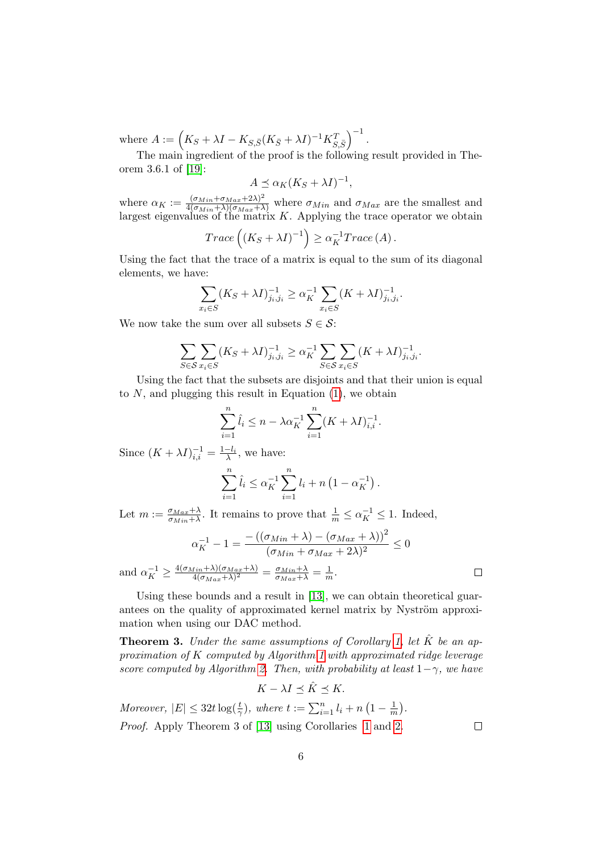where  $A := (K_S + \lambda I - K_{S, \bar{S}} (K_{\bar{S}} + \lambda I)^{-1} K_{S, \bar{S}}^T)^{-1}$ .

The main ingredient of the proof is the following result provided in Theorem 3.6.1 of [\[19\]](#page-9-9):

$$
A \preceq \alpha_K (K_S + \lambda I)^{-1},
$$

where  $\alpha_K := \frac{(\sigma_{Min} + \sigma_{Max} + 2\lambda)^2}{4(\sigma_{Min} + \lambda)(\sigma_{Max} + \lambda)}$  where  $\sigma_{Min}$  and  $\sigma_{Max}$  are the smallest and largest eigenvalues of the matrix  $K$ . Applying the trace operator we obtain

$$
Trace\left((K_S + \lambda I)^{-1}\right) \ge \alpha_K^{-1}Trace\left(A\right).
$$

Using the fact that the trace of a matrix is equal to the sum of its diagonal elements, we have:

$$
\sum_{x_i \in S} (K_S + \lambda I)^{-1}_{j_i, j_i} \ge \alpha_K^{-1} \sum_{x_i \in S} (K + \lambda I)^{-1}_{j_i, j_i}.
$$

We now take the sum over all subsets  $S \in \mathcal{S}$ :

$$
\sum_{S \in \mathcal{S}} \sum_{x_i \in S} (K_S + \lambda I)^{-1}_{j_i, j_i} \ge \alpha_K^{-1} \sum_{S \in \mathcal{S}} \sum_{x_i \in S} (K + \lambda I)^{-1}_{j_i, j_i}.
$$

Using the fact that the subsets are disjoints and that their union is equal to  $N$ , and plugging this result in Equation  $(1)$ , we obtain

$$
\sum_{i=1}^{n} \hat{l}_i \le n - \lambda \alpha_K^{-1} \sum_{i=1}^{n} (K + \lambda I)_{i,i}^{-1}.
$$

Since  $(K + \lambda I)^{-1}_{i,i} = \frac{1 - l_i}{\lambda}$ , we have:

$$
\sum_{i=1}^{n} \hat{l}_i \leq \alpha_K^{-1} \sum_{i=1}^{n} l_i + n \left( 1 - \alpha_K^{-1} \right).
$$

Let  $m := \frac{\sigma_{Max} + \lambda}{\sigma_{MIN} + \lambda}$  $\frac{\sigma_{Max} + \lambda}{\sigma_{Min} + \lambda}$ . It remains to prove that  $\frac{1}{m} \leq \alpha_K^{-1} \leq 1$ . Indeed,

$$
\alpha_K^{-1} - 1 = \frac{-((\sigma_{Min} + \lambda) - (\sigma_{Max} + \lambda))^2}{(\sigma_{Min} + \sigma_{Max} + 2\lambda)^2} \le 0
$$
  
and 
$$
\alpha_K^{-1} \ge \frac{4(\sigma_{Min} + \lambda)(\sigma_{Max} + \lambda)}{4(\sigma_{Max} + \lambda)^2} = \frac{\sigma_{Min} + \lambda}{\sigma_{Max} + \lambda} = \frac{1}{m}.
$$

Using these bounds and a result in [\[13\]](#page-9-3), we can obtain theoretical guarantees on the quality of approximated kernel matrix by Nyström approximation when using our DAC method.

**Theorem 3.** Under the same assumptions of Corollary [1,](#page-3-2) let  $\hat{K}$  be an approximation of K computed by Algorithm [1](#page-2-0) with approximated ridge leverage score computed by Algorithm [2.](#page-3-1) Then, with probability at least  $1-\gamma$ , we have

$$
K - \lambda I \preceq \hat{K} \preceq K.
$$

Moreover,  $|E| \leq 32t \log(\frac{t}{\gamma})$ , where  $t := \sum_{i=1}^n l_i + n(1 - \frac{1}{n})$  $\frac{1}{m}$ ). Proof. Apply Theorem 3 of [\[13\]](#page-9-3) using Corollaries [1](#page-3-2) and [2.](#page-4-1)

 $\Box$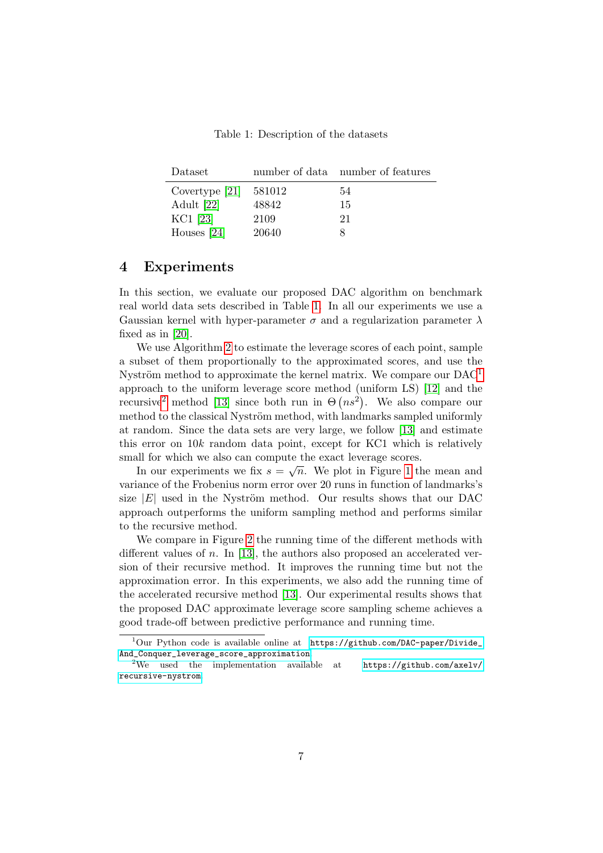Table 1: Description of the datasets

<span id="page-6-1"></span>

| Dataset          |        | number of data number of features |
|------------------|--------|-----------------------------------|
| Covertype $[21]$ | 581012 | 54                                |
| Adult [22]       | 48842  | 15                                |
| KC1 [23]         | 2109   | 21                                |
| Houses $[24]$    | 20640  |                                   |

## <span id="page-6-0"></span>4 Experiments

In this section, we evaluate our proposed DAC algorithm on benchmark real world data sets described in Table [1.](#page-6-1) In all our experiments we use a Gaussian kernel with hyper-parameter  $\sigma$  and a regularization parameter  $\lambda$ fixed as in [\[20\]](#page-9-11).

We use Algorithm [2](#page-3-1) to estimate the leverage scores of each point, sample a subset of them proportionally to the approximated scores, and use the Nyström method to approximate the kernel matrix. We compare our  $DAC<sup>1</sup>$  $DAC<sup>1</sup>$  $DAC<sup>1</sup>$ approach to the uniform leverage score method (uniform LS) [\[12\]](#page-9-2) and the recursive<sup>[2](#page-6-3)</sup> method [\[13\]](#page-9-3) since both run in  $\Theta(n s^2)$ . We also compare our method to the classical Nyström method, with landmarks sampled uniformly at random. Since the data sets are very large, we follow [\[13\]](#page-9-3) and estimate this error on 10k random data point, except for KC1 which is relatively small for which we also can compute the exact leverage scores.

In our experiments we fix  $s = \sqrt{n}$ . We plot in Figure [1](#page-7-3) the mean and variance of the Frobenius norm error over 20 runs in function of landmarks's size  $|E|$  used in the Nyström method. Our results shows that our DAC approach outperforms the uniform sampling method and performs similar to the recursive method.

We compare in Figure [2](#page-8-6) the running time of the different methods with different values of n. In [\[13\]](#page-9-3), the authors also proposed an accelerated version of their recursive method. It improves the running time but not the approximation error. In this experiments, we also add the running time of the accelerated recursive method [\[13\]](#page-9-3). Our experimental results shows that the proposed DAC approximate leverage score sampling scheme achieves a good trade-off between predictive performance and running time.

<span id="page-6-2"></span> $1$ Our Python code is available online at [https://github.com/DAC-paper/Divide\\_](https://github.com/DAC-paper/Divide_And_Conquer_leverage_score_approximation) [And\\_Conquer\\_leverage\\_score\\_approximation](https://github.com/DAC-paper/Divide_And_Conquer_leverage_score_approximation).<br><sup>2</sup>We used the implementation availal

<span id="page-6-3"></span> $implementation$  available at [https://github.com/axelv/](https://github.com/axelv/recursive-nystrom) [recursive-nystrom](https://github.com/axelv/recursive-nystrom).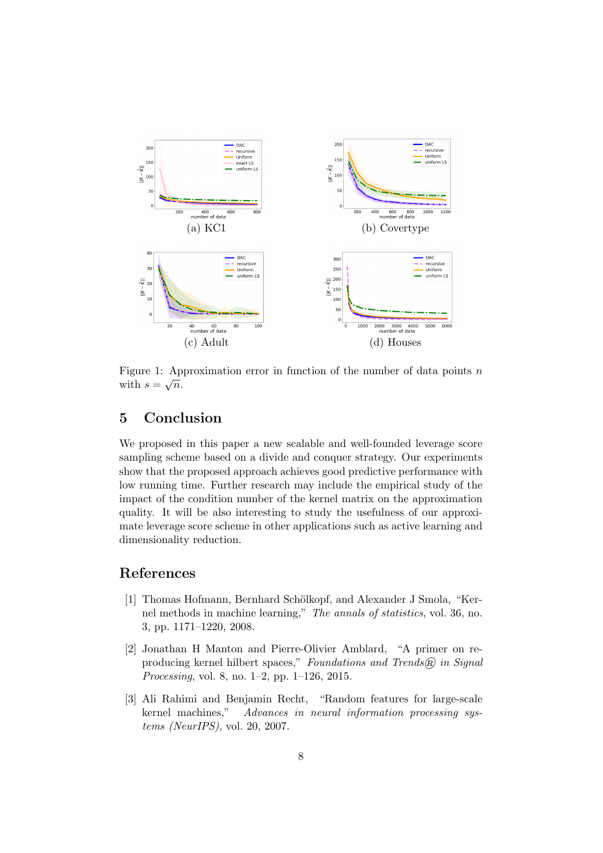<span id="page-7-3"></span>

Figure 1: Approximation error in function of the number of data points n with  $s=\sqrt{n}$ .

## 5 Conclusion

We proposed in this paper a new scalable and well-founded leverage score sampling scheme based on a divide and conquer strategy. Our experiments show that the proposed approach achieves good predictive performance with low running time. Further research may include the empirical study of the impact of the condition number of the kernel matrix on the approximation quality. It will be also interesting to study the usefulness of our approximate leverage score scheme in other applications such as active learning and dimensionality reduction.

## References

- <span id="page-7-0"></span>[1] Thomas Hofmann, Bernhard Schölkopf, and Alexander J Smola, "Kernel methods in machine learning," The annals of statistics, vol. 36, no. 3, pp. 1171–1220, 2008.
- <span id="page-7-1"></span>[2] Jonathan H Manton and Pierre-Olivier Amblard, "A primer on reproducing kernel hilbert spaces," Foundations and Trends $(\widehat{R})$  in Signal Processing, vol. 8, no. 1–2, pp. 1–126, 2015.
- <span id="page-7-2"></span>[3] Ali Rahimi and Benjamin Recht, "Random features for large-scale kernel machines," Advances in neural information processing systems (NeurIPS), vol. 20, 2007.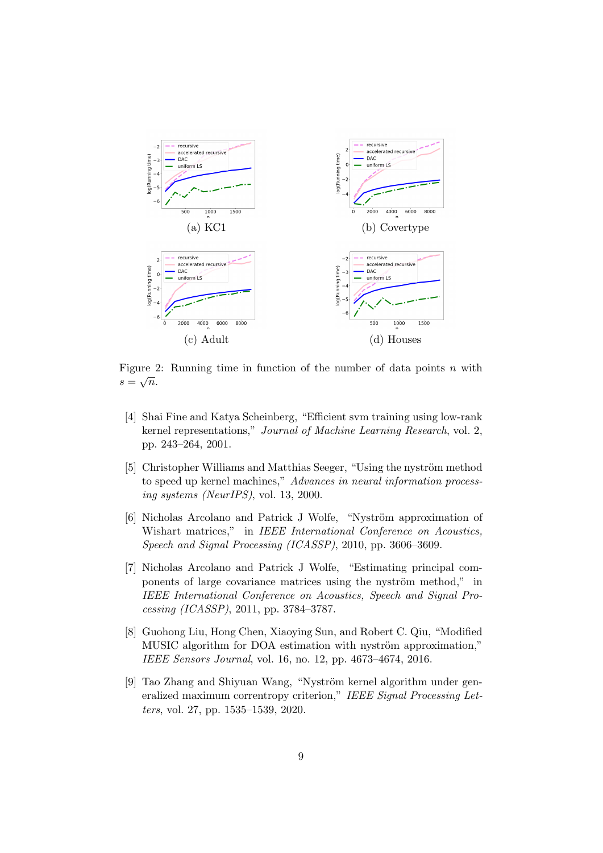<span id="page-8-6"></span>

Figure 2: Running time in function of the number of data points n with  $s=\sqrt{n}.$ 

- <span id="page-8-0"></span>[4] Shai Fine and Katya Scheinberg, "Efficient svm training using low-rank kernel representations," Journal of Machine Learning Research, vol. 2, pp. 243–264, 2001.
- <span id="page-8-1"></span>[5] Christopher Williams and Matthias Seeger, "Using the nyström method to speed up kernel machines," Advances in neural information processing systems (NeurIPS), vol. 13, 2000.
- <span id="page-8-2"></span>[6] Nicholas Arcolano and Patrick J Wolfe, "Nyström approximation of Wishart matrices," in IEEE International Conference on Acoustics, Speech and Signal Processing (ICASSP), 2010, pp. 3606–3609.
- <span id="page-8-3"></span>[7] Nicholas Arcolano and Patrick J Wolfe, "Estimating principal components of large covariance matrices using the nyström method," in IEEE International Conference on Acoustics, Speech and Signal Processing (ICASSP), 2011, pp. 3784–3787.
- <span id="page-8-4"></span>[8] Guohong Liu, Hong Chen, Xiaoying Sun, and Robert C. Qiu, "Modified MUSIC algorithm for DOA estimation with nyström approximation," IEEE Sensors Journal, vol. 16, no. 12, pp. 4673–4674, 2016.
- <span id="page-8-5"></span>[9] Tao Zhang and Shiyuan Wang, "Nyström kernel algorithm under generalized maximum correntropy criterion," IEEE Signal Processing Letters, vol. 27, pp. 1535–1539, 2020.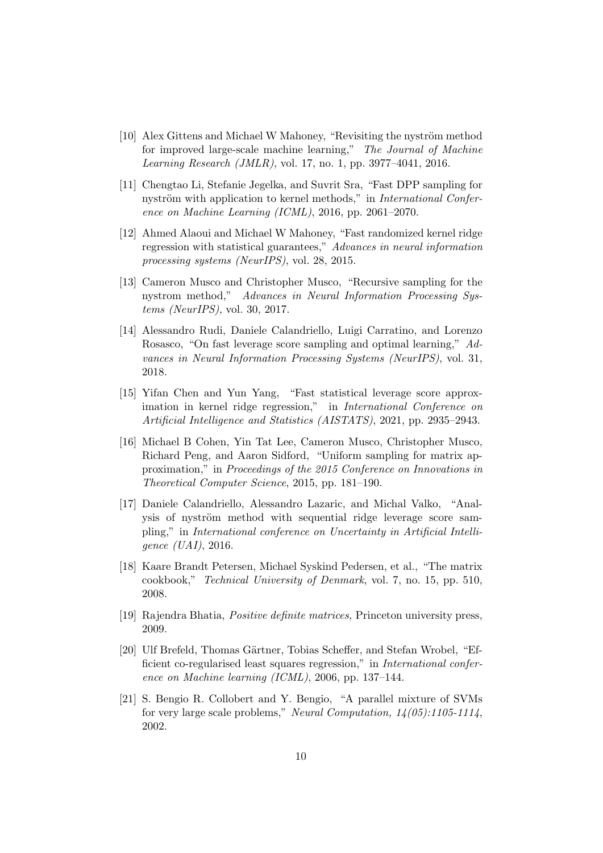- <span id="page-9-0"></span> $[10]$  Alex Gittens and Michael W Mahoney, "Revisiting the nyström method for improved large-scale machine learning," The Journal of Machine Learning Research (JMLR), vol. 17, no. 1, pp. 3977–4041, 2016.
- <span id="page-9-1"></span>[11] Chengtao Li, Stefanie Jegelka, and Suvrit Sra, "Fast DPP sampling for nyström with application to kernel methods," in *International Confer*ence on Machine Learning (ICML), 2016, pp. 2061–2070.
- <span id="page-9-2"></span>[12] Ahmed Alaoui and Michael W Mahoney, "Fast randomized kernel ridge regression with statistical guarantees," Advances in neural information processing systems (NeurIPS), vol. 28, 2015.
- <span id="page-9-3"></span>[13] Cameron Musco and Christopher Musco, "Recursive sampling for the nystrom method," Advances in Neural Information Processing Systems (NeurIPS), vol. 30, 2017.
- <span id="page-9-4"></span>[14] Alessandro Rudi, Daniele Calandriello, Luigi Carratino, and Lorenzo Rosasco, "On fast leverage score sampling and optimal learning," Advances in Neural Information Processing Systems (NeurIPS), vol. 31, 2018.
- <span id="page-9-5"></span>[15] Yifan Chen and Yun Yang, "Fast statistical leverage score approximation in kernel ridge regression," in International Conference on Artificial Intelligence and Statistics (AISTATS), 2021, pp. 2935–2943.
- <span id="page-9-6"></span>[16] Michael B Cohen, Yin Tat Lee, Cameron Musco, Christopher Musco, Richard Peng, and Aaron Sidford, "Uniform sampling for matrix approximation," in Proceedings of the 2015 Conference on Innovations in Theoretical Computer Science, 2015, pp. 181–190.
- <span id="page-9-7"></span>[17] Daniele Calandriello, Alessandro Lazaric, and Michal Valko, "Analysis of nyström method with sequential ridge leverage score sampling," in International conference on Uncertainty in Artificial Intelligence (UAI), 2016.
- <span id="page-9-8"></span>[18] Kaare Brandt Petersen, Michael Syskind Pedersen, et al., "The matrix cookbook," Technical University of Denmark, vol. 7, no. 15, pp. 510, 2008.
- <span id="page-9-9"></span>[19] Rajendra Bhatia, Positive definite matrices, Princeton university press, 2009.
- <span id="page-9-11"></span>[20] Ulf Brefeld, Thomas Gärtner, Tobias Scheffer, and Stefan Wrobel, "Efficient co-regularised least squares regression," in International conference on Machine learning (ICML), 2006, pp. 137–144.
- <span id="page-9-10"></span>[21] S. Bengio R. Collobert and Y. Bengio, "A parallel mixture of SVMs for very large scale problems," Neural Computation,  $14(05):1105-1114$ , 2002.